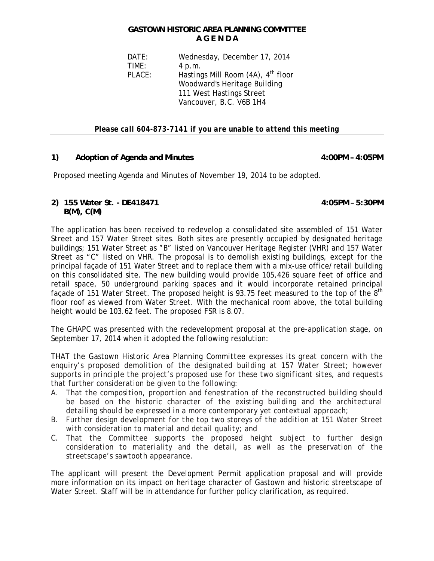## **GASTOWN HISTORIC AREA PLANNING COMMITTEE A G E N D A**

 DATE: Wednesday, December 17, 2014 TIME: 4 p.m. PLACE: Hastings Mill Room (4A), 4<sup>th</sup> floor Woodward's Heritage Building 111 West Hastings Street Vancouver, B.C. V6B 1H4

*Please call 604-873-7141 if you are unable to attend this meeting* 

## **1) Adoption of Agenda and Minutes 4:00PM – 4:05PM**

Proposed meeting Agenda and Minutes of November 19, 2014 to be adopted.

## **2) 155 Water St. - DE418471 4:05PM – 5:30PM B(M), C(M)**

The application has been received to redevelop a consolidated site assembled of 151 Water Street and 157 Water Street sites. Both sites are presently occupied by designated heritage buildings; 151 Water Street as "B" listed on Vancouver Heritage Register (VHR) and 157 Water Street as "C" listed on VHR. The proposal is to demolish existing buildings, except for the principal façade of 151 Water Street and to replace them with a mix-use office/retail building on this consolidated site. The new building would provide 105,426 square feet of office and retail space, 50 underground parking spaces and it would incorporate retained principal façade of 151 Water Street. The proposed height is 93.75 feet measured to the top of the 8<sup>th</sup> floor roof as viewed from Water Street. With the mechanical room above, the total building height would be 103.62 feet. The proposed FSR is 8.07.

The GHAPC was presented with the redevelopment proposal at the pre-application stage, on September 17, 2014 when it adopted the following resolution:

*THAT the Gastown Historic Area Planning Committee expresses its great concern with the enquiry's proposed demolition of the designated building at 157 Water Street; however supports in principle the project's proposed use for these two significant sites, and requests that further consideration be given to the following:* 

- *A. That the composition, proportion and fenestration of the reconstructed building should*  be based on the historic character of the existing building and the architectural *detailing should be expressed in a more contemporary yet contextual approach;*
- *B. Further design development for the top two storeys of the addition at 151 Water Street with consideration to material and detail quality; and*
- *C. That the Committee supports the proposed height subject to further design consideration to materiality and the detail, as well as the preservation of the streetscape's sawtooth appearance.*

The applicant will present the Development Permit application proposal and will provide more information on its impact on heritage character of Gastown and historic streetscape of Water Street. Staff will be in attendance for further policy clarification, as required.